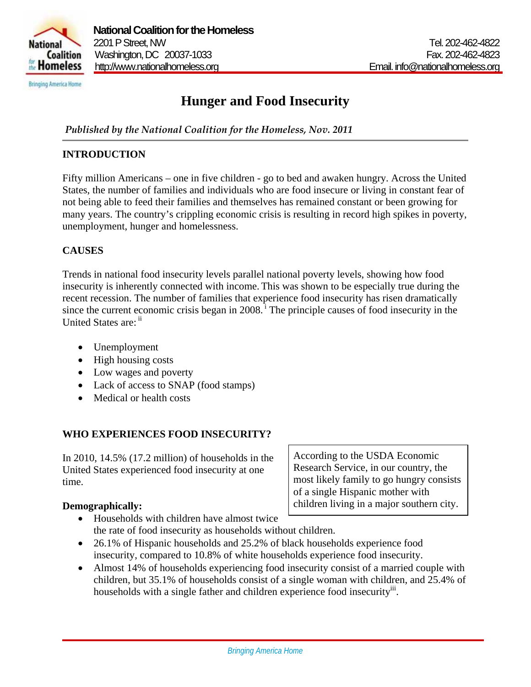

# **Hunger and Food Insecurity**

*Published by the National Coalition for the Homeless, Nov. 2011*

### **INTRODUCTION**

Fifty million Americans – one in five children - go to bed and awaken hungry. Across the United States, the number of families and individuals who are food insecure or living in constant fear of not being able to feed their families and themselves has remained constant or been growing for many years. The country's crippling economic crisis is resulting in record high spikes in poverty, unemployment, hunger and homelessness.

### **CAUSES**

Trends in national food insecurity levels parallel national poverty levels, showing how food insecurity is inherently connected with income. This was shown to be especially true during the recent recession. The number of families that experience food insecurity has risen dramatically since the current economic crisis began in  $2008$ .<sup>1</sup> The principle causes of food insecurity in the United States are:  $ii$ 

- Unemployment
- High housing costs
- Low wages and poverty
- Lack of access to SNAP (food stamps)
- Medical or health costs

### **WHO EXPERIENCES FOOD INSECURITY?**

In 2010, 14.5% (17.2 million) of households in the United States experienced food insecurity at one time.

### **Demographically:**

Research Service, in our country, the most likely family to go hungry consists of a single Hispanic mother with children living in a major southern city.

According to the USDA Economic

- Households with children have almost twice the rate of food insecurity as households without children.
- 26.1% of Hispanic households and 25.2% of black households experience food insecurity, compared to 10.8% of white households experience food insecurity.
- Almost 14% of households experiencing food insecurity consist of a married couple with children, but 35.1% of households consist of a single woman with children, and 25.4% of households with a single father and children experience food insecurity.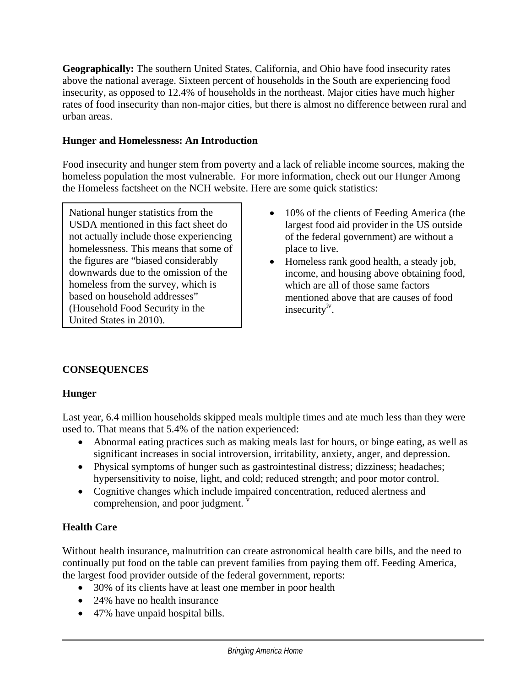**Geographically:** The southern United States, California, and Ohio have food insecurity rates above the national average. Sixteen percent of households in the South are experiencing food insecurity, as opposed to 12.4% of households in the northeast. Major cities have much higher rates of food insecurity than non-major cities, but there is almost no difference between rural and urban areas.

### **Hunger and Homelessness: An Introduction**

Food insecurity and hunger stem from poverty and a lack of reliable income sources, making the homeless population the most vulnerable. For more information, check out our Hunger Among the Homeless factsheet on the NCH website. Here are some quick statistics:

National hunger statistics from the USDA mentioned in this fact sheet do not actually include those experiencing homelessness. This means that some of the figures are "biased considerably downwards due to the omission of the homeless from the survey, which is based on household addresses" (Household Food Security in the United States in 2010).

- 10% of the clients of Feeding America (the largest food aid provider in the US outside of the federal government) are without a place to live.
- Homeless rank good health, a steady job, income, and housing above obtaining food, which are all of those same factors mentioned above that are causes of food insecurity $v^{\nu}$ .

# **CONSEQUENCES**

### **Hunger**

Last year, 6.4 million households skipped meals multiple times and ate much less than they were used to. That means that 5.4% of the nation experienced:

- Abnormal eating practices such as making meals last for hours, or binge eating, as well as significant increases in social introversion, irritability, anxiety, anger, and depression.
- Physical symptoms of hunger such as gastrointestinal distress; dizziness; headaches; hypersensitivity to noise, light, and cold; reduced strength; and poor motor control.
- Cognitive changes which include impaired concentration, reduced alertness and comprehension, and poor judgment.

### **Health Care**

Without health insurance, malnutrition can create astronomical health care bills, and the need to continually put food on the table can prevent families from paying them off. Feeding America, the largest food provider outside of the federal government, reports:

- 30% of its clients have at least one member in poor health
- 24% have no health insurance
- 47% have unpaid hospital bills.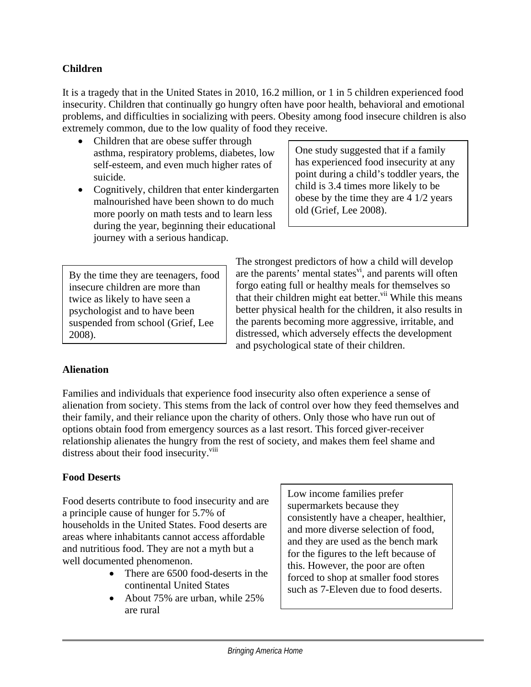### **Children**

It is a tragedy that in the United States in 2010, 16.2 million, or 1 in 5 children experienced food insecurity. Children that continually go hungry often have poor health, behavioral and emotional problems, and difficulties in socializing with peers. Obesity among food insecure children is also extremely common, due to the low quality of food they receive.

- Children that are obese suffer through asthma, respiratory problems, diabetes, low self-esteem, and even much higher rates of suicide.
- Cognitively, children that enter kindergarten malnourished have been shown to do much more poorly on math tests and to learn less during the year, beginning their educational journey with a serious handicap.

One study suggested that if a family has experienced food insecurity at any point during a child's toddler years, the child is 3.4 times more likely to be obese by the time they are 4 1/2 years old (Grief, Lee 2008).

By the time they are teenagers, food insecure children are more than twice as likely to have seen a psychologist and to have been suspended from school (Grief, Lee 2008).

The strongest predictors of how a child will develop are the parents' mental states $\overrightarrow{v}$ , and parents will often forgo eating full or healthy meals for themselves so that their children might eat better.<sup>vii</sup> While this means better physical health for the children, it also results in the parents becoming more aggressive, irritable, and distressed, which adversely effects the development and psychological state of their children.

### **Alienation**

Families and individuals that experience food insecurity also often experience a sense of alienation from society. This stems from the lack of control over how they feed themselves and their family, and their reliance upon the charity of others. Only those who have run out of options obtain food from emergency sources as a last resort. This forced giver-receiver relationship alienates the hungry from the rest of society, and makes them feel shame and distress about their food insecurity.<sup>viii</sup>

### **Food Deserts**

Food deserts contribute to food insecurity and are a principle cause of hunger for 5.7% of households in the United States. Food deserts are areas where inhabitants cannot access affordable and nutritious food. They are not a myth but a well documented phenomenon.

- There are 6500 food-deserts in the continental United States
- About 75% are urban, while 25% are rural

Low income families prefer supermarkets because they consistently have a cheaper, healthier, and more diverse selection of food, and they are used as the bench mark for the figures to the left because of this. However, the poor are often forced to shop at smaller food stores such as 7-Eleven due to food deserts.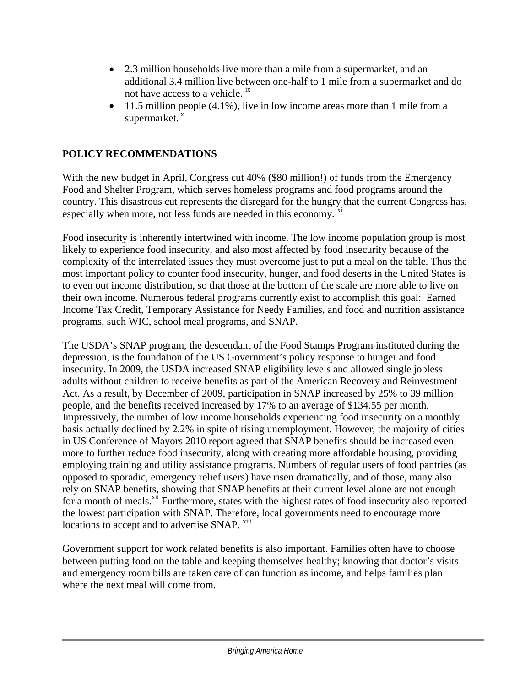- 2.3 million households live more than a mile from a supermarket, and an additional 3.4 million live between one-half to 1 mile from a supermarket and do not have access to a vehicle. ix
- $\bullet$  11.5 million people (4.1%), live in low income areas more than 1 mile from a supermarket.<sup>x</sup>

## **POLICY RECOMMENDATIONS**

With the new budget in April, Congress cut 40% (\$80 million!) of funds from the Emergency Food and Shelter Program, which serves homeless programs and food programs around the country. This disastrous cut represents the disregard for the hungry that the current Congress has, especially when more, not less funds are needed in this economy.  $\frac{x}{x}$ 

Food insecurity is inherently intertwined with income. The low income population group is most likely to experience food insecurity, and also most affected by food insecurity because of the complexity of the interrelated issues they must overcome just to put a meal on the table. Thus the most important policy to counter food insecurity, hunger, and food deserts in the United States is to even out income distribution, so that those at the bottom of the scale are more able to live on their own income. Numerous federal programs currently exist to accomplish this goal: Earned Income Tax Credit, Temporary Assistance for Needy Families, and food and nutrition assistance programs, such WIC, school meal programs, and SNAP.

The USDA's SNAP program, the descendant of the Food Stamps Program instituted during the depression, is the foundation of the US Government's policy response to hunger and food insecurity. In 2009, the USDA increased SNAP eligibility levels and allowed single jobless adults without children to receive benefits as part of the American Recovery and Reinvestment Act. As a result, by December of 2009, participation in SNAP increased by 25% to 39 million people, and the benefits received increased by 17% to an average of \$134.55 per month. Impressively, the number of low income households experiencing food insecurity on a monthly basis actually declined by 2.2% in spite of rising unemployment. However, the majority of cities in US Conference of Mayors 2010 report agreed that SNAP benefits should be increased even more to further reduce food insecurity, along with creating more affordable housing, providing employing training and utility assistance programs. Numbers of regular users of food pantries (as opposed to sporadic, emergency relief users) have risen dramatically, and of those, many also rely on SNAP benefits, showing that SNAP benefits at their current level alone are not enough for a month of meals.<sup>xii</sup> Furthermore, states with the highest rates of food insecurity also reported the lowest participation with SNAP. Therefore, local governments need to encourage more locations to accept and to advertise SNAP. <sup>xiii</sup>

Government support for work related benefits is also important. Families often have to choose between putting food on the table and keeping themselves healthy; knowing that doctor's visits and emergency room bills are taken care of can function as income, and helps families plan where the next meal will come from.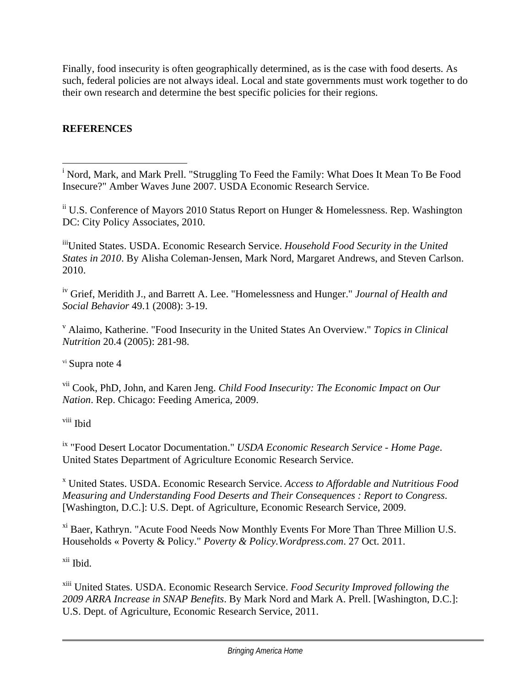Finally, food insecurity is often geographically determined, as is the case with food deserts. As such, federal policies are not always ideal. Local and state governments must work together to do their own research and determine the best specific policies for their regions.

# **REFERENCES**

i<br>
<sup>i</sup> Nord, Mark, and Mark Prell. "Struggling To Feed the Family: What Does It Mean To Be Food Insecure?" Amber Waves June 2007. USDA Economic Research Service.

 $\mathrm{^{ii}}$  U.S. Conference of Mayors 2010 Status Report on Hunger & Homelessness. Rep. Washington DC: City Policy Associates, 2010.

iiiUnited States. USDA. Economic Research Service. *Household Food Security in the United States in 2010*. By Alisha Coleman-Jensen, Mark Nord, Margaret Andrews, and Steven Carlson. 2010.

iv Grief, Meridith J., and Barrett A. Lee. "Homelessness and Hunger." *Journal of Health and Social Behavior* 49.1 (2008): 3-19.

v Alaimo, Katherine. "Food Insecurity in the United States An Overview." *Topics in Clinical Nutrition* 20.4 (2005): 281-98.

vi Supra note 4

vii Cook, PhD, John, and Karen Jeng. *Child Food Insecurity: The Economic Impact on Our Nation*. Rep. Chicago: Feeding America, 2009.

viii Ibid

ix "Food Desert Locator Documentation." *USDA Economic Research Service - Home Page*. United States Department of Agriculture Economic Research Service.

x United States. USDA. Economic Research Service. *Access to Affordable and Nutritious Food Measuring and Understanding Food Deserts and Their Consequences : Report to Congress*. [Washington, D.C.]: U.S. Dept. of Agriculture, Economic Research Service, 2009.

xi Baer, Kathryn. "Acute Food Needs Now Monthly Events For More Than Three Million U.S. Households « Poverty & Policy." *Poverty & Policy.Wordpress.com*. 27 Oct. 2011.

xii Ibid.

xiii United States. USDA. Economic Research Service. *Food Security Improved following the 2009 ARRA Increase in SNAP Benefits*. By Mark Nord and Mark A. Prell. [Washington, D.C.]: U.S. Dept. of Agriculture, Economic Research Service, 2011.